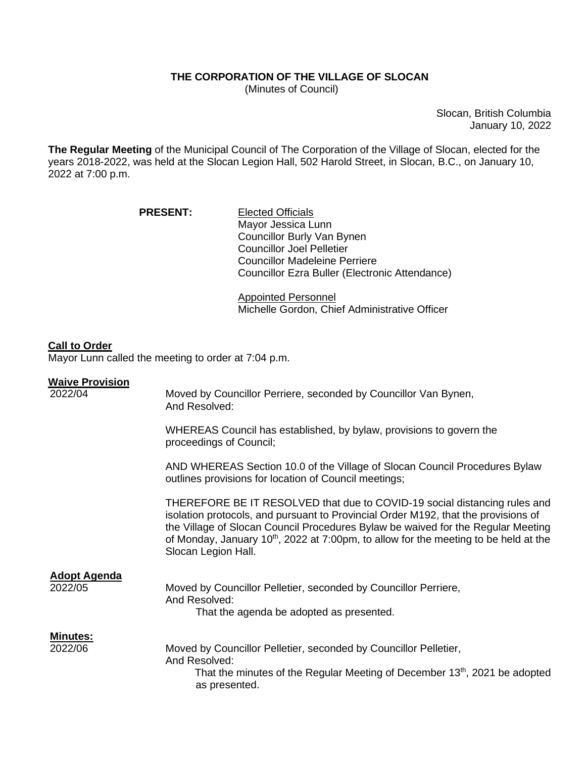## **THE CORPORATION OF THE VILLAGE OF SLOCAN**

(Minutes of Council)

Slocan, British Columbia January 10, 2022

**The Regular Meeting** of the Municipal Council of The Corporation of the Village of Slocan, elected for the years 2018-2022, was held at the Slocan Legion Hall, 502 Harold Street, in Slocan, B.C., on January 10, 2022 at 7:00 p.m.

> PRESENT: Elected Officials Mayor Jessica Lunn Councillor Burly Van Bynen Councillor Joel Pelletier Councillor Madeleine Perriere Councillor Ezra Buller (Electronic Attendance)

> > Appointed Personnel Michelle Gordon, Chief Administrative Officer

## **Call to Order**

Mayor Lunn called the meeting to order at 7:04 p.m.

## **Waive Provision**

| 2022/04                        | Moved by Councillor Perriere, seconded by Councillor Van Bynen,<br>And Resolved:                                                                                                                                                                                                                                                                                        |
|--------------------------------|-------------------------------------------------------------------------------------------------------------------------------------------------------------------------------------------------------------------------------------------------------------------------------------------------------------------------------------------------------------------------|
|                                | WHEREAS Council has established, by bylaw, provisions to govern the<br>proceedings of Council;                                                                                                                                                                                                                                                                          |
|                                | AND WHEREAS Section 10.0 of the Village of Slocan Council Procedures Bylaw<br>outlines provisions for location of Council meetings;                                                                                                                                                                                                                                     |
|                                | THEREFORE BE IT RESOLVED that due to COVID-19 social distancing rules and<br>isolation protocols, and pursuant to Provincial Order M192, that the provisions of<br>the Village of Slocan Council Procedures Bylaw be waived for the Regular Meeting<br>of Monday, January $10^{th}$ , 2022 at 7:00pm, to allow for the meeting to be held at the<br>Slocan Legion Hall. |
| <b>Adopt Agenda</b><br>2022/05 | Moved by Councillor Pelletier, seconded by Councillor Perriere,<br>And Resolved:<br>That the agenda be adopted as presented.                                                                                                                                                                                                                                            |
| <b>Minutes:</b><br>2022/06     | Moved by Councillor Pelletier, seconded by Councillor Pelletier,<br>And Resolved:<br>That the minutes of the Regular Meeting of December 13 <sup>th</sup> , 2021 be adopted<br>as presented.                                                                                                                                                                            |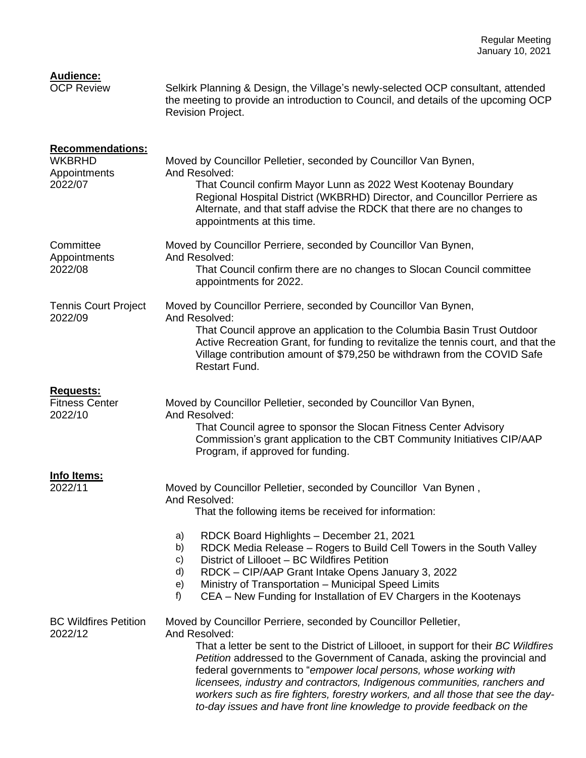| <b>Audience:</b><br><b>OCP Review</b>                               | Selkirk Planning & Design, the Village's newly-selected OCP consultant, attended<br>the meeting to provide an introduction to Council, and details of the upcoming OCP<br>Revision Project.                                                                                                                                                                                                                                                                                                                                                                           |
|---------------------------------------------------------------------|-----------------------------------------------------------------------------------------------------------------------------------------------------------------------------------------------------------------------------------------------------------------------------------------------------------------------------------------------------------------------------------------------------------------------------------------------------------------------------------------------------------------------------------------------------------------------|
| <b>Recommendations:</b><br><b>WKBRHD</b><br>Appointments<br>2022/07 | Moved by Councillor Pelletier, seconded by Councillor Van Bynen,<br>And Resolved:<br>That Council confirm Mayor Lunn as 2022 West Kootenay Boundary<br>Regional Hospital District (WKBRHD) Director, and Councillor Perriere as<br>Alternate, and that staff advise the RDCK that there are no changes to<br>appointments at this time.                                                                                                                                                                                                                               |
| Committee<br>Appointments<br>2022/08                                | Moved by Councillor Perriere, seconded by Councillor Van Bynen,<br>And Resolved:<br>That Council confirm there are no changes to Slocan Council committee<br>appointments for 2022.                                                                                                                                                                                                                                                                                                                                                                                   |
| <b>Tennis Court Project</b><br>2022/09                              | Moved by Councillor Perriere, seconded by Councillor Van Bynen,<br>And Resolved:<br>That Council approve an application to the Columbia Basin Trust Outdoor<br>Active Recreation Grant, for funding to revitalize the tennis court, and that the<br>Village contribution amount of \$79,250 be withdrawn from the COVID Safe<br><b>Restart Fund.</b>                                                                                                                                                                                                                  |
| <b>Requests:</b><br><b>Fitness Center</b><br>2022/10                | Moved by Councillor Pelletier, seconded by Councillor Van Bynen,<br>And Resolved:<br>That Council agree to sponsor the Slocan Fitness Center Advisory<br>Commission's grant application to the CBT Community Initiatives CIP/AAP<br>Program, if approved for funding.                                                                                                                                                                                                                                                                                                 |
| Info Items:<br>2022/11                                              | Moved by Councillor Pelletier, seconded by Councillor Van Bynen,<br>And Resolved:<br>That the following items be received for information:<br>a)<br>RDCK Board Highlights - December 21, 2021<br>RDCK Media Release - Rogers to Build Cell Towers in the South Valley<br>b)<br>District of Lillooet - BC Wildfires Petition<br>c)<br>d)<br>RDCK - CIP/AAP Grant Intake Opens January 3, 2022<br>e)<br>Ministry of Transportation - Municipal Speed Limits<br>f<br>CEA – New Funding for Installation of EV Chargers in the Kootenays                                  |
| <b>BC Wildfires Petition</b><br>2022/12                             | Moved by Councillor Perriere, seconded by Councillor Pelletier,<br>And Resolved:<br>That a letter be sent to the District of Lillooet, in support for their BC Wildfires<br>Petition addressed to the Government of Canada, asking the provincial and<br>federal governments to "empower local persons, whose working with<br>licensees, industry and contractors, Indigenous communities, ranchers and<br>workers such as fire fighters, forestry workers, and all those that see the day-<br>to-day issues and have front line knowledge to provide feedback on the |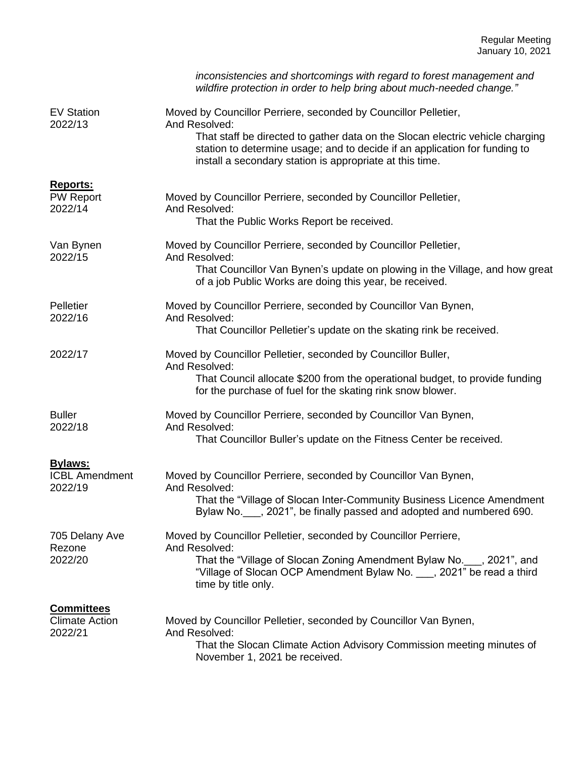|                                                | inconsistencies and shortcomings with regard to forest management and<br>wildfire protection in order to help bring about much-needed change."                      |
|------------------------------------------------|---------------------------------------------------------------------------------------------------------------------------------------------------------------------|
| <b>EV Station</b><br>2022/13                   | Moved by Councillor Perriere, seconded by Councillor Pelletier,<br>And Resolved:<br>That staff be directed to gather data on the Slocan electric vehicle charging   |
|                                                | station to determine usage; and to decide if an application for funding to<br>install a secondary station is appropriate at this time.                              |
| <b>Reports:</b><br><b>PW Report</b><br>2022/14 | Moved by Councillor Perriere, seconded by Councillor Pelletier,<br>And Resolved:                                                                                    |
|                                                | That the Public Works Report be received.                                                                                                                           |
| Van Bynen<br>2022/15                           | Moved by Councillor Perriere, seconded by Councillor Pelletier,<br>And Resolved:                                                                                    |
|                                                | That Councillor Van Bynen's update on plowing in the Village, and how great<br>of a job Public Works are doing this year, be received.                              |
| Pelletier<br>2022/16                           | Moved by Councillor Perriere, seconded by Councillor Van Bynen,<br>And Resolved:                                                                                    |
|                                                | That Councillor Pelletier's update on the skating rink be received.                                                                                                 |
| 2022/17                                        | Moved by Councillor Pelletier, seconded by Councillor Buller,<br>And Resolved:                                                                                      |
|                                                | That Council allocate \$200 from the operational budget, to provide funding<br>for the purchase of fuel for the skating rink snow blower.                           |
| <b>Buller</b><br>2022/18                       | Moved by Councillor Perriere, seconded by Councillor Van Bynen,<br>And Resolved:                                                                                    |
|                                                | That Councillor Buller's update on the Fitness Center be received.                                                                                                  |
| <b>Bylaws:</b><br><b>ICBL Amendment</b>        | Moved by Councillor Perriere, seconded by Councillor Van Bynen,                                                                                                     |
| 2022/19                                        | And Resolved:                                                                                                                                                       |
|                                                | That the "Village of Slocan Inter-Community Business Licence Amendment<br>Bylaw No. , 2021", be finally passed and adopted and numbered 690.                        |
| 705 Delany Ave<br>Rezone                       | Moved by Councillor Pelletier, seconded by Councillor Perriere,<br>And Resolved:                                                                                    |
| 2022/20                                        | That the "Village of Slocan Zoning Amendment Bylaw No. ___, 2021", and<br>"Village of Slocan OCP Amendment Bylaw No. , 2021" be read a third<br>time by title only. |
| <b>Committees</b><br><b>Climate Action</b>     | Moved by Councillor Pelletier, seconded by Councillor Van Bynen,                                                                                                    |
| 2022/21                                        | And Resolved:                                                                                                                                                       |
|                                                | That the Slocan Climate Action Advisory Commission meeting minutes of<br>November 1, 2021 be received.                                                              |